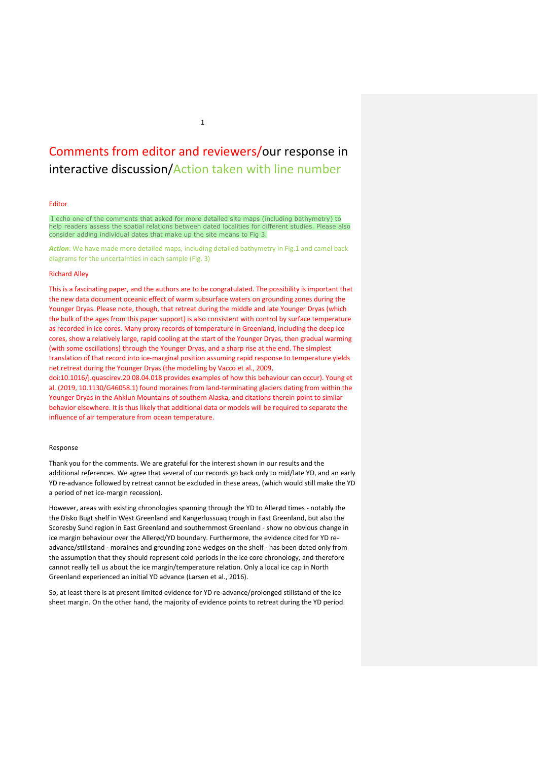# Comments from editor and reviewers/our response in interactive discussion/Action taken with line number

# Editor

I echo one of the comments that asked for more detailed site maps (including bathymetry) to help readers assess the spatial relations between dated localities for different studies. Please also consider adding individual dates that make up the site means to Fig 3.

*Action*: We have made more detailed maps, including detailed bathymetry in Fig.1 and camel back diagrams for the uncertainties in each sample (Fig. 3)

# Richard Alley

This is a fascinating paper, and the authors are to be congratulated. The possibility is important that the new data document oceanic effect of warm subsurface waters on grounding zones during the Younger Dryas. Please note, though, that retreat during the middle and late Younger Dryas (which the bulk of the ages from this paper support) is also consistent with control by surface temperature as recorded in ice cores. Many proxy records of temperature in Greenland, including the deep ice cores, show a relatively large, rapid cooling at the start of the Younger Dryas, then gradual warming (with some oscillations) through the Younger Dryas, and a sharp rise at the end. The simplest translation of that record into ice-marginal position assuming rapid response to temperature yields net retreat during the Younger Dryas (the modelling by Vacco et al., 2009,

doi:10.1016/j.quascirev.20 08.04.018 provides examples of how this behaviour can occur). Young et al. (2019, 10.1130/G46058.1) found moraines from land-terminating glaciers dating from within the Younger Dryas in the Ahklun Mountains of southern Alaska, and citations therein point to similar behavior elsewhere. It is thus likely that additional data or models will be required to separate the influence of air temperature from ocean temperature.

# Response

Thank you for the comments. We are grateful for the interest shown in our results and the additional references. We agree that several of our records go back only to mid/late YD, and an early YD re-advance followed by retreat cannot be excluded in these areas, (which would still make the YD a period of net ice-margin recession).

However, areas with existing chronologies spanning through the YD to Allerød times - notably the the Disko Bugt shelf in West Greenland and Kangerlussuaq trough in East Greenland, but also the Scoresby Sund region in East Greenland and southernmost Greenland - show no obvious change in ice margin behaviour over the Allerød/YD boundary. Furthermore, the evidence cited for YD readvance/stillstand - moraines and grounding zone wedges on the shelf - has been dated only from the assumption that they should represent cold periods in the ice core chronology, and therefore cannot really tell us about the ice margin/temperature relation. Only a local ice cap in North Greenland experienced an initial YD advance (Larsen et al., 2016).

So, at least there is at present limited evidence for YD re-advance/prolonged stillstand of the ice sheet margin. On the other hand, the majority of evidence points to retreat during the YD period.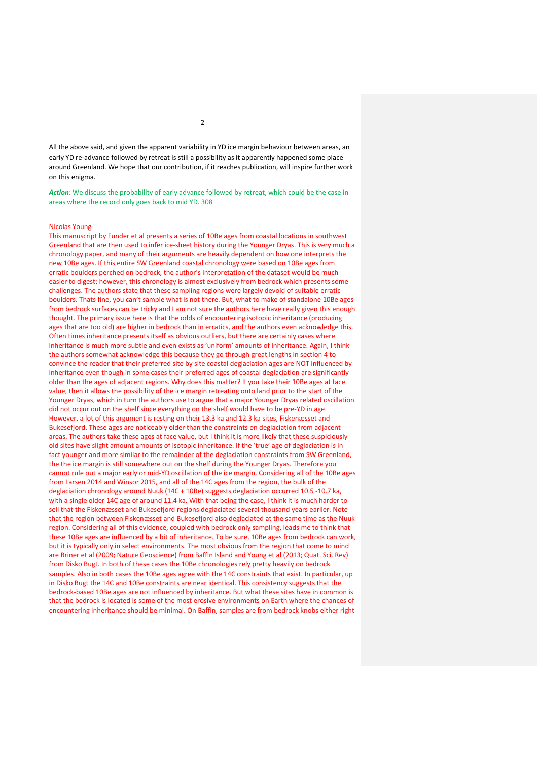All the above said, and given the apparent variability in YD ice margin behaviour between areas, an early YD re-advance followed by retreat is still a possibility as it apparently happened some place around Greenland. We hope that our contribution, if it reaches publication, will inspire further work on this enigma.

Action: We discuss the probability of early advance followed by retreat, which could be the case in areas where the record only goes back to mid YD. 308

#### Nicolas Young

This manuscript by Funder et al presents a series of 10Be ages from coastal locations in southwest Greenland that are then used to infer ice-sheet history during the Younger Dryas. This is very much a chronology paper, and many of their arguments are heavily dependent on how one interprets the new 10Be ages. If this entire SW Greenland coastal chronology were based on 10Be ages from erratic boulders perched on bedrock, the author's interpretation of the dataset would be much easier to digest; however, this chronology is almost exclusively from bedrock which presents some challenges. The authors state that these sampling regions were largely devoid of suitable erratic boulders. Thats fine, you can't sample what is not there. But, what to make of standalone 10Be ages from bedrock surfaces can be tricky and I am not sure the authors here have really given this enough thought. The primary issue here is that the odds of encountering isotopic inheritance (producing ages that are too old) are higher in bedrock than in erratics, and the authors even acknowledge this. Often times inheritance presents itself as obvious outliers, but there are certainly cases where inheritance is much more subtle and even exists as 'uniform' amounts of inheritance. Again, I think the authors somewhat acknowledge this because they go through great lengths in section 4 to convince the reader that their preferred site by site coastal deglaciation ages are NOT influenced by inheritance even though in some cases their preferred ages of coastal deglaciation are significantly older than the ages of adjacent regions. Why does this matter? If you take their 10Be ages at face value, then it allows the possibility of the ice margin retreating onto land prior to the start of the Younger Dryas, which in turn the authors use to argue that a major Younger Dryas related oscillation did not occur out on the shelf since everything on the shelf would have to be pre-YD in age. However, a lot of this argument is resting on their 13.3 ka and 12.3 ka sites, Fiskenæsset and Bukesefjord. These ages are noticeably older than the constraints on deglaciation from adjacent areas. The authors take these ages at face value, but I think it is more likely that these suspiciously old sites have slight amount amounts of isotopic inheritance. If the 'true' age of deglaciation is in fact younger and more similar to the remainder of the deglaciation constraints from SW Greenland, the the ice margin is still somewhere out on the shelf during the Younger Dryas. Therefore you cannot rule out a major early or mid-YD oscillation of the ice margin. Considering all of the 10Be ages from Larsen 2014 and Winsor 2015, and all of the 14C ages from the region, the bulk of the deglaciation chronology around Nuuk (14C + 10Be) suggests deglaciation occurred 10.5 -10.7 ka, with a single older 14C age of around 11.4 ka. With that being the case, I think it is much harder to sell that the Fiskenæsset and Bukesefjord regions deglaciated several thousand years earlier. Note that the region between Fiskenæsset and Bukesefjord also deglaciated at the same time as the Nuuk region. Considering all of this evidence, coupled with bedrock only sampling, leads me to think that these 10Be ages are influenced by a bit of inheritance. To be sure, 10Be ages from bedrock can work, but it is typically only in select environments. The most obvious from the region that come to mind are Briner et al (2009; Nature Geoscience) from Baffin Island and Young et al (2013; Quat. Sci. Rev) from Disko Bugt. In both of these cases the 10Be chronologies rely pretty heavily on bedrock samples. Also in both cases the 10Be ages agree with the 14C constraints that exist. In particular, up in Disko Bugt the 14C and 10Be constraints are near identical. This consistency suggests that the bedrock-based 10Be ages are not influenced by inheritance. But what these sites have in common is that the bedrock is located is some of the most erosive environments on Earth where the chances of encountering inheritance should be minimal. On Baffin, samples are from bedrock knobs either right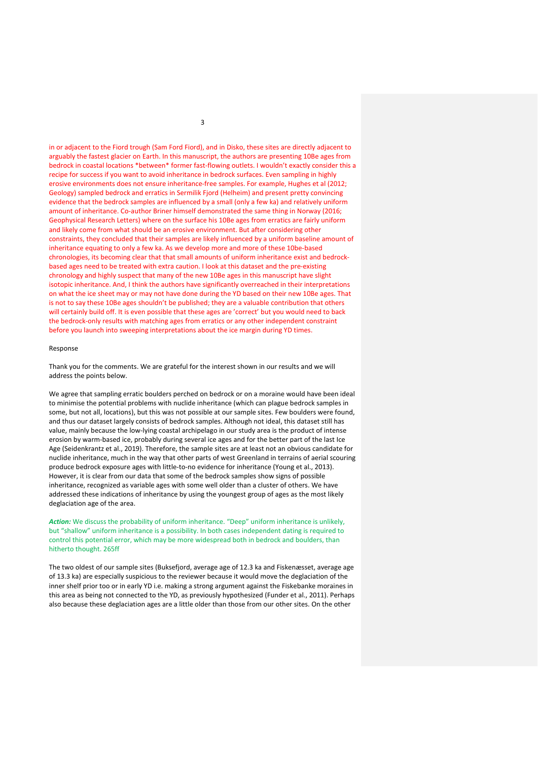in or adjacent to the Fiord trough (Sam Ford Fiord), and in Disko, these sites are directly adjacent to arguably the fastest glacier on Earth. In this manuscript, the authors are presenting 10Be ages from bedrock in coastal locations \*between\* former fast-flowing outlets. I wouldn't exactly consider this a recipe for success if you want to avoid inheritance in bedrock surfaces. Even sampling in highly erosive environments does not ensure inheritance-free samples. For example, Hughes et al (2012; Geology) sampled bedrock and erratics in Sermilik Fjord (Helheim) and present pretty convincing evidence that the bedrock samples are influenced by a small (only a few ka) and relatively uniform amount of inheritance. Co-author Briner himself demonstrated the same thing in Norway (2016; Geophysical Research Letters) where on the surface his 10Be ages from erratics are fairly uniform and likely come from what should be an erosive environment. But after considering other constraints, they concluded that their samples are likely influenced by a uniform baseline amount of inheritance equating to only a few ka. As we develop more and more of these 10be-based chronologies, its becoming clear that that small amounts of uniform inheritance exist and bedrockbased ages need to be treated with extra caution. I look at this dataset and the pre-existing chronology and highly suspect that many of the new 10Be ages in this manuscript have slight isotopic inheritance. And, I think the authors have significantly overreached in their interpretations on what the ice sheet may or may not have done during the YD based on their new 10Be ages. That is not to say these 10Be ages shouldn't be published; they are a valuable contribution that others will certainly build off. It is even possible that these ages are 'correct' but you would need to back the bedrock-only results with matching ages from erratics or any other independent constraint before you launch into sweeping interpretations about the ice margin during YD times.

#### Response

Thank you for the comments. We are grateful for the interest shown in our results and we will address the points below.

We agree that sampling erratic boulders perched on bedrock or on a moraine would have been ideal to minimise the potential problems with nuclide inheritance (which can plague bedrock samples in some, but not all, locations), but this was not possible at our sample sites. Few boulders were found, and thus our dataset largely consists of bedrock samples. Although not ideal, this dataset still has value, mainly because the low-lying coastal archipelago in our study area is the product of intense erosion by warm-based ice, probably during several ice ages and for the better part of the last Ice Age (Seidenkrantz et al., 2019). Therefore, the sample sites are at least not an obvious candidate for nuclide inheritance, much in the way that other parts of west Greenland in terrains of aerial scouring produce bedrock exposure ages with little-to-no evidence for inheritance (Young et al., 2013). However, it is clear from our data that some of the bedrock samples show signs of possible inheritance, recognized as variable ages with some well older than a cluster of others. We have addressed these indications of inheritance by using the youngest group of ages as the most likely deglaciation age of the area.

*Action:* We discuss the probability of uniform inheritance. "Deep" uniform inheritance is unlikely, but "shallow" uniform inheritance is a possibility. In both cases independent dating is required to control this potential error, which may be more widespread both in bedrock and boulders, than hitherto thought. 265ff

The two oldest of our sample sites (Buksefjord, average age of 12.3 ka and Fiskenæsset, average age of 13.3 ka) are especially suspicious to the reviewer because it would move the deglaciation of the inner shelf prior too or in early YD i.e. making a strong argument against the Fiskebanke moraines in this area as being not connected to the YD, as previously hypothesized (Funder et al., 2011). Perhaps also because these deglaciation ages are a little older than those from our other sites. On the other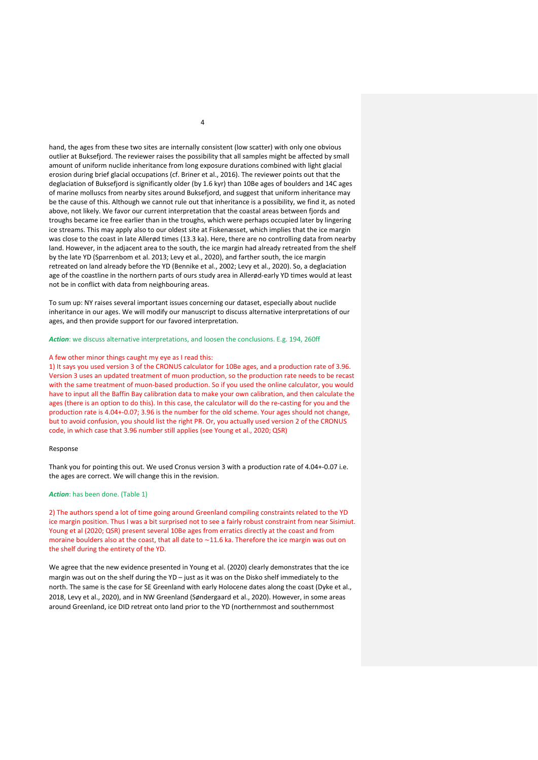hand, the ages from these two sites are internally consistent (low scatter) with only one obvious outlier at Buksefjord. The reviewer raises the possibility that all samples might be affected by small amount of uniform nuclide inheritance from long exposure durations combined with light glacial erosion during brief glacial occupations (cf. Briner et al., 2016). The reviewer points out that the deglaciation of Buksefjord is significantly older (by 1.6 kyr) than 10Be ages of boulders and 14C ages of marine molluscs from nearby sites around Buksefjord, and suggest that uniform inheritance may be the cause of this. Although we cannot rule out that inheritance is a possibility, we find it, as noted above, not likely. We favor our current interpretation that the coastal areas between fjords and troughs became ice free earlier than in the troughs, which were perhaps occupied later by lingering ice streams. This may apply also to our oldest site at Fiskenæsset, which implies that the ice margin was close to the coast in late Allerød times (13.3 ka). Here, there are no controlling data from nearby land. However, in the adjacent area to the south, the ice margin had already retreated from the shelf by the late YD (Sparrenbom et al. 2013; Levy et al., 2020), and farther south, the ice margin retreated on land already before the YD (Bennike et al., 2002; Levy et al., 2020). So, a deglaciation age of the coastline in the northern parts of ours study area in Allerød-early YD times would at least not be in conflict with data from neighbouring areas.

To sum up: NY raises several important issues concerning our dataset, especially about nuclide inheritance in our ages. We will modify our manuscript to discuss alternative interpretations of our ages, and then provide support for our favored interpretation.

# *Action*: we discuss alternative interpretations, and loosen the conclusions. E.g. 194, 260ff

#### A few other minor things caught my eye as I read this:

1) It says you used version 3 of the CRONUS calculator for 10Be ages, and a production rate of 3.96. Version 3 uses an updated treatment of muon production, so the production rate needs to be recast with the same treatment of muon-based production. So if you used the online calculator, you would have to input all the Baffin Bay calibration data to make your own calibration, and then calculate the ages (there is an option to do this). In this case, the calculator will do the re-casting for you and the production rate is 4.04+-0.07; 3.96 is the number for the old scheme. Your ages should not change, but to avoid confusion, you should list the right PR. Or, you actually used version 2 of the CRONUS code, in which case that 3.96 number still applies (see Young et al., 2020; QSR)

# Response

Thank you for pointing this out. We used Cronus version 3 with a production rate of 4.04+-0.07 i.e. the ages are correct. We will change this in the revision.

## *Action*: has been done. (Table 1)

2) The authors spend a lot of time going around Greenland compiling constraints related to the YD ice margin position. Thus I was a bit surprised not to see a fairly robust constraint from near Sisimiut. Young et al (2020; QSR) present several 10Be ages from erratics directly at the coast and from moraine boulders also at the coast, that all date to ~11.6 ka. Therefore the ice margin was out on the shelf during the entirety of the YD.

We agree that the new evidence presented in Young et al. (2020) clearly demonstrates that the ice margin was out on the shelf during the YD – just as it was on the Disko shelf immediately to the north. The same is the case for SE Greenland with early Holocene dates along the coast (Dyke et al., 2018, Levy et al., 2020), and in NW Greenland (Søndergaard et al., 2020). However, in some areas around Greenland, ice DID retreat onto land prior to the YD (northernmost and southernmost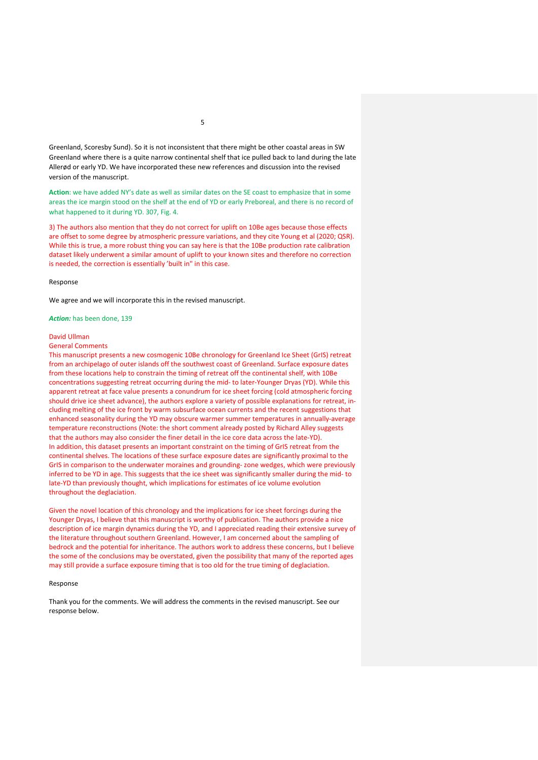Greenland, Scoresby Sund). So it is not inconsistent that there might be other coastal areas in SW Greenland where there is a quite narrow continental shelf that ice pulled back to land during the late Allerød or early YD. We have incorporated these new references and discussion into the revised version of the manuscript.

**Action**: we have added NY's date as well as similar dates on the SE coast to emphasize that in some areas the ice margin stood on the shelf at the end of YD or early Preboreal, and there is no record of what happened to it during YD. 307, Fig. 4.

3) The authors also mention that they do not correct for uplift on 10Be ages because those effects are offset to some degree by atmospheric pressure variations, and they cite Young et al (2020; QSR). While this is true, a more robust thing you can say here is that the 10Be production rate calibration dataset likely underwent a similar amount of uplift to your known sites and therefore no correction is needed, the correction is essentially 'built in" in this case.

#### Response

We agree and we will incorporate this in the revised manuscript.

*Action:* has been done, 139

#### David Ullman

#### General Comments

This manuscript presents a new cosmogenic 10Be chronology for Greenland Ice Sheet (GrIS) retreat from an archipelago of outer islands off the southwest coast of Greenland. Surface exposure dates from these locations help to constrain the timing of retreat off the continental shelf, with 10Be concentrations suggesting retreat occurring during the mid- to later-Younger Dryas (YD). While this apparent retreat at face value presents a conundrum for ice sheet forcing (cold atmospheric forcing should drive ice sheet advance), the authors explore a variety of possible explanations for retreat, including melting of the ice front by warm subsurface ocean currents and the recent suggestions that enhanced seasonality during the YD may obscure warmer summer temperatures in annually-average temperature reconstructions (Note: the short comment already posted by Richard Alley suggests that the authors may also consider the finer detail in the ice core data across the late-YD). In addition, this dataset presents an important constraint on the timing of GrIS retreat from the continental shelves. The locations of these surface exposure dates are significantly proximal to the GrIS in comparison to the underwater moraines and grounding- zone wedges, which were previously inferred to be YD in age. This suggests that the ice sheet was significantly smaller during the mid- to late-YD than previously thought, which implications for estimates of ice volume evolution throughout the deglaciation.

Given the novel location of this chronology and the implications for ice sheet forcings during the Younger Dryas, I believe that this manuscript is worthy of publication. The authors provide a nice description of ice margin dynamics during the YD, and I appreciated reading their extensive survey of the literature throughout southern Greenland. However, I am concerned about the sampling of bedrock and the potential for inheritance. The authors work to address these concerns, but I believe the some of the conclusions may be overstated, given the possibility that many of the reported ages may still provide a surface exposure timing that is too old for the true timing of deglaciation.

#### Response

Thank you for the comments. We will address the comments in the revised manuscript. See our response below.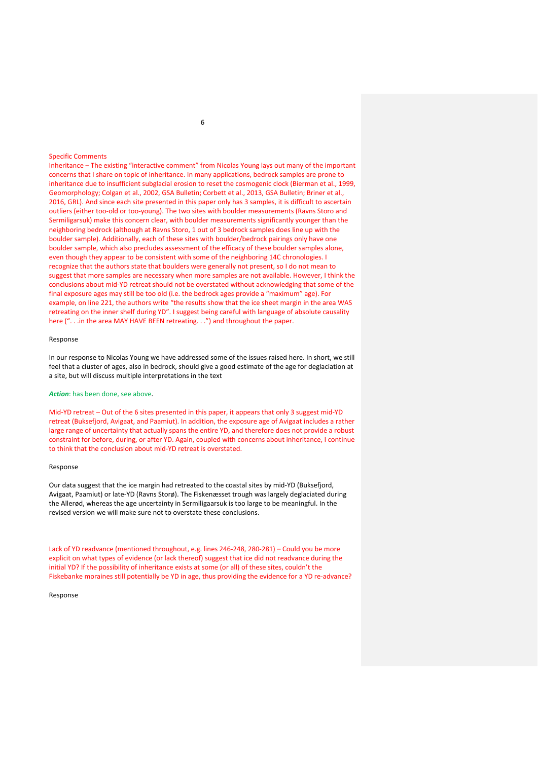# Specific Comments

Inheritance – The existing "interactive comment" from Nicolas Young lays out many of the important concerns that I share on topic of inheritance. In many applications, bedrock samples are prone to inheritance due to insufficient subglacial erosion to reset the cosmogenic clock (Bierman et al., 1999, Geomorphology; Colgan et al., 2002, GSA Bulletin; Corbett et al., 2013, GSA Bulletin; Briner et al., 2016, GRL). And since each site presented in this paper only has 3 samples, it is difficult to ascertain outliers (either too-old or too-young). The two sites with boulder measurements (Ravns Storo and Sermiligarsuk) make this concern clear, with boulder measurements significantly younger than the neighboring bedrock (although at Ravns Storo, 1 out of 3 bedrock samples does line up with the boulder sample). Additionally, each of these sites with boulder/bedrock pairings only have one boulder sample, which also precludes assessment of the efficacy of these boulder samples alone, even though they appear to be consistent with some of the neighboring 14C chronologies. I recognize that the authors state that boulders were generally not present, so I do not mean to suggest that more samples are necessary when more samples are not available. However, I think the conclusions about mid-YD retreat should not be overstated without acknowledging that some of the final exposure ages may still be too old (i.e. the bedrock ages provide a "maximum" age). For example, on line 221, the authors write "the results show that the ice sheet margin in the area WAS retreating on the inner shelf during YD". I suggest being careful with language of absolute causality here (". . .in the area MAY HAVE BEEN retreating. . .") and throughout the paper.

# Response

In our response to Nicolas Young we have addressed some of the issues raised here. In short, we still feel that a cluster of ages, also in bedrock, should give a good estimate of the age for deglaciation at a site, but will discuss multiple interpretations in the text

# *Action*: has been done, see above.

Mid-YD retreat – Out of the 6 sites presented in this paper, it appears that only 3 suggest mid-YD retreat (Buksefjord, Avigaat, and Paamiut). In addition, the exposure age of Avigaat includes a rather large range of uncertainty that actually spans the entire YD, and therefore does not provide a robust constraint for before, during, or after YD. Again, coupled with concerns about inheritance, I continue to think that the conclusion about mid-YD retreat is overstated.

#### Response

Our data suggest that the ice margin had retreated to the coastal sites by mid-YD (Buksefjord, Avigaat, Paamiut) or late-YD (Ravns Storø). The Fiskenæsset trough was largely deglaciated during the Allerød, whereas the age uncertainty in Sermiligaarsuk is too large to be meaningful. In the revised version we will make sure not to overstate these conclusions.

Lack of YD readvance (mentioned throughout, e.g. lines 246-248, 280-281) – Could you be more explicit on what types of evidence (or lack thereof) suggest that ice did not readvance during the initial YD? If the possibility of inheritance exists at some (or all) of these sites, couldn't the Fiskebanke moraines still potentially be YD in age, thus providing the evidence for a YD re-advance?

#### Response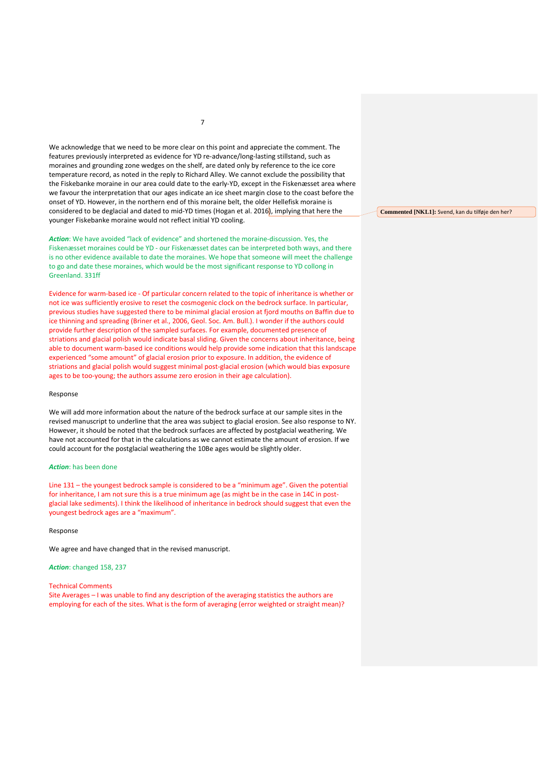We acknowledge that we need to be more clear on this point and appreciate the comment. The features previously interpreted as evidence for YD re-advance/long-lasting stillstand, such as moraines and grounding zone wedges on the shelf, are dated only by reference to the ice core temperature record, as noted in the reply to Richard Alley. We cannot exclude the possibility that the Fiskebanke moraine in our area could date to the early-YD, except in the Fiskenæsset area where we favour the interpretation that our ages indicate an ice sheet margin close to the coast before the onset of YD. However, in the northern end of this moraine belt, the older Hellefisk moraine is considered to be deglacial and dated to mid-YD times (Hogan et al. 2016), implying that here the younger Fiskebanke moraine would not reflect initial YD cooling.

*Action*: We have avoided "lack of evidence" and shortened the moraine-discussion. Yes, the Fiskenæsset moraines could be YD - our Fiskenæsset dates can be interpreted both ways, and there is no other evidence available to date the moraines. We hope that someone will meet the challenge to go and date these moraines, which would be the most significant response to YD collong in Greenland. 331ff

Evidence for warm-based ice - Of particular concern related to the topic of inheritance is whether or not ice was sufficiently erosive to reset the cosmogenic clock on the bedrock surface. In particular, previous studies have suggested there to be minimal glacial erosion at fjord mouths on Baffin due to ice thinning and spreading (Briner et al., 2006, Geol. Soc. Am. Bull.). I wonder if the authors could provide further description of the sampled surfaces. For example, documented presence of striations and glacial polish would indicate basal sliding. Given the concerns about inheritance, being able to document warm-based ice conditions would help provide some indication that this landscape experienced "some amount" of glacial erosion prior to exposure. In addition, the evidence of striations and glacial polish would suggest minimal post-glacial erosion (which would bias exposure ages to be too-young; the authors assume zero erosion in their age calculation).

#### Response

We will add more information about the nature of the bedrock surface at our sample sites in the revised manuscript to underline that the area was subject to glacial erosion. See also response to NY. However, it should be noted that the bedrock surfaces are affected by postglacial weathering. We have not accounted for that in the calculations as we cannot estimate the amount of erosion. If we could account for the postglacial weathering the 10Be ages would be slightly older.

# *Action*: has been done

Line 131 – the youngest bedrock sample is considered to be a "minimum age". Given the potential for inheritance, I am not sure this is a true minimum age (as might be in the case in 14C in postglacial lake sediments). I think the likelihood of inheritance in bedrock should suggest that even the youngest bedrock ages are a "maximum".

#### Response

We agree and have changed that in the revised manuscript.

*Action*: changed 158, 237

#### Technical Comments

Site Averages – I was unable to find any description of the averaging statistics the authors are employing for each of the sites. What is the form of averaging (error weighted or straight mean)? **Commented [NKL1]:** Svend, kan du tilføje den her?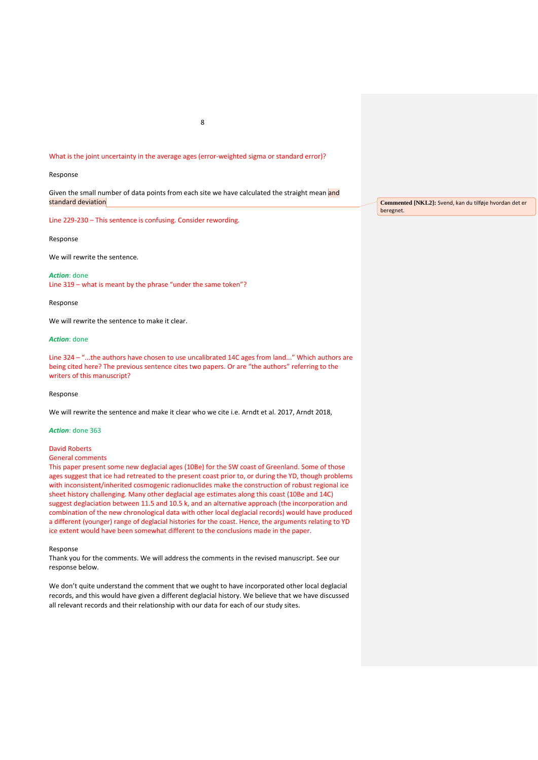# What is the joint uncertainty in the average ages (error-weighted sigma or standard error)?

# Response

Given the small number of data points from each site we have calculated the straight mean and standard deviation

Line 229-230 – This sentence is confusing. Consider rewording.

Response

We will rewrite the sentence.

*Action*: done Line 319 – what is meant by the phrase "under the same token"?

Response

We will rewrite the sentence to make it clear.

*Action*: done

Line 324 – "...the authors have chosen to use uncalibrated 14C ages from land..." Which authors are being cited here? The previous sentence cites two papers. Or are "the authors" referring to the writers of this manuscript?

Response

We will rewrite the sentence and make it clear who we cite i.e. Arndt et al. 2017, Arndt 2018,

# *Action*: done 363

David Roberts

# General comments

This paper present some new deglacial ages (10Be) for the SW coast of Greenland. Some of those ages suggest that ice had retreated to the present coast prior to, or during the YD, though problems with inconsistent/inherited cosmogenic radionuclides make the construction of robust regional ice sheet history challenging. Many other deglacial age estimates along this coast (10Be and 14C) suggest deglaciation between 11.5 and 10.5 k, and an alternative approach (the incorporation and combination of the new chronological data with other local deglacial records) would have produced a different (younger) range of deglacial histories for the coast. Hence, the arguments relating to YD ice extent would have been somewhat different to the conclusions made in the paper.

Response

Thank you for the comments. We will address the comments in the revised manuscript. See our response below.

We don't quite understand the comment that we ought to have incorporated other local deglacial records, and this would have given a different deglacial history. We believe that we have discussed all relevant records and their relationship with our data for each of our study sites.

**Commented [NKL2]:** Svend, kan du tilføje hvordan det er beregnet.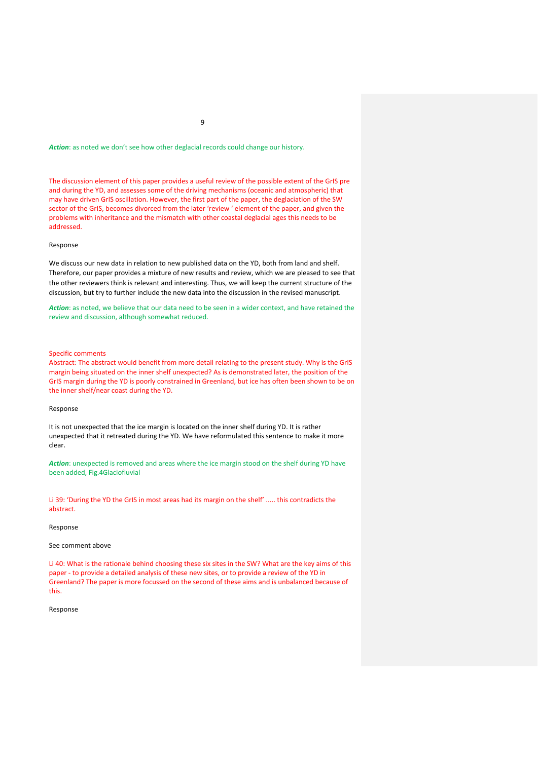# Action: as noted we don't see how other deglacial records could change our history.

The discussion element of this paper provides a useful review of the possible extent of the GrIS pre and during the YD, and assesses some of the driving mechanisms (oceanic and atmospheric) that may have driven GrIS oscillation. However, the first part of the paper, the deglaciation of the SW sector of the GrIS, becomes divorced from the later 'review ' element of the paper, and given the problems with inheritance and the mismatch with other coastal deglacial ages this needs to be addressed.

#### Response

We discuss our new data in relation to new published data on the YD, both from land and shelf. Therefore, our paper provides a mixture of new results and review, which we are pleased to see that the other reviewers think is relevant and interesting. Thus, we will keep the current structure of the discussion, but try to further include the new data into the discussion in the revised manuscript.

*Action*: as noted, we believe that our data need to be seen in a wider context, and have retained the review and discussion, although somewhat reduced.

# Specific comments

Abstract: The abstract would benefit from more detail relating to the present study. Why is the GrIS margin being situated on the inner shelf unexpected? As is demonstrated later, the position of the GrIS margin during the YD is poorly constrained in Greenland, but ice has often been shown to be on the inner shelf/near coast during the YD.

# Response

It is not unexpected that the ice margin is located on the inner shelf during YD. It is rather unexpected that it retreated during the YD. We have reformulated this sentence to make it more clear.

*Action*: unexpected is removed and areas where the ice margin stood on the shelf during YD have been added, Fig.4Glaciofluvial

Li 39: 'During the YD the GrIS in most areas had its margin on the shelf' ..... this contradicts the abstract.

#### Response

#### See comment above

Li 40: What is the rationale behind choosing these six sites in the SW? What are the key aims of this paper - to provide a detailed analysis of these new sites, or to provide a review of the YD in Greenland? The paper is more focussed on the second of these aims and is unbalanced because of this.

#### Response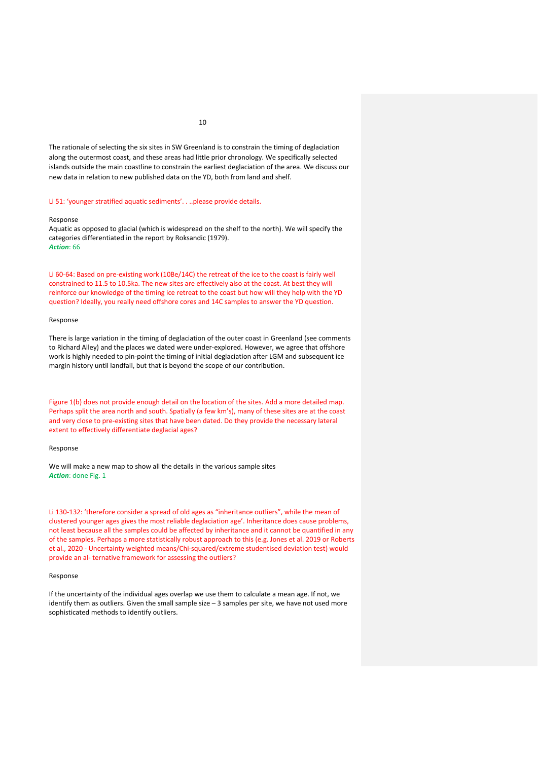The rationale of selecting the six sites in SW Greenland is to constrain the timing of deglaciation along the outermost coast, and these areas had little prior chronology. We specifically selected islands outside the main coastline to constrain the earliest deglaciation of the area. We discuss our new data in relation to new published data on the YD, both from land and shelf.

# Li 51: 'younger stratified aquatic sediments'. . ..please provide details.

#### Response

Aquatic as opposed to glacial (which is widespread on the shelf to the north). We will specify the categories differentiated in the report by Roksandic (1979). *Action*: 66

Li 60-64: Based on pre-existing work (10Be/14C) the retreat of the ice to the coast is fairly well constrained to 11.5 to 10.5ka. The new sites are effectively also at the coast. At best they will reinforce our knowledge of the timing ice retreat to the coast but how will they help with the YD question? Ideally, you really need offshore cores and 14C samples to answer the YD question.

#### Response

There is large variation in the timing of deglaciation of the outer coast in Greenland (see comments to Richard Alley) and the places we dated were under-explored. However, we agree that offshore work is highly needed to pin-point the timing of initial deglaciation after LGM and subsequent ice margin history until landfall, but that is beyond the scope of our contribution.

Figure 1(b) does not provide enough detail on the location of the sites. Add a more detailed map. Perhaps split the area north and south. Spatially (a few km's), many of these sites are at the coast and very close to pre-existing sites that have been dated. Do they provide the necessary lateral extent to effectively differentiate deglacial ages?

# Response

We will make a new map to show all the details in the various sample sites *Action*: done Fig. 1

Li 130-132: 'therefore consider a spread of old ages as "inheritance outliers", while the mean of clustered younger ages gives the most reliable deglaciation age'. Inheritance does cause problems, not least because all the samples could be affected by inheritance and it cannot be quantified in any of the samples. Perhaps a more statistically robust approach to this (e.g. Jones et al. 2019 or Roberts et al., 2020 - Uncertainty weighted means/Chi-squared/extreme studentised deviation test) would provide an al- ternative framework for assessing the outliers?

# Response

If the uncertainty of the individual ages overlap we use them to calculate a mean age. If not, we identify them as outliers. Given the small sample size - 3 samples per site, we have not used more sophisticated methods to identify outliers.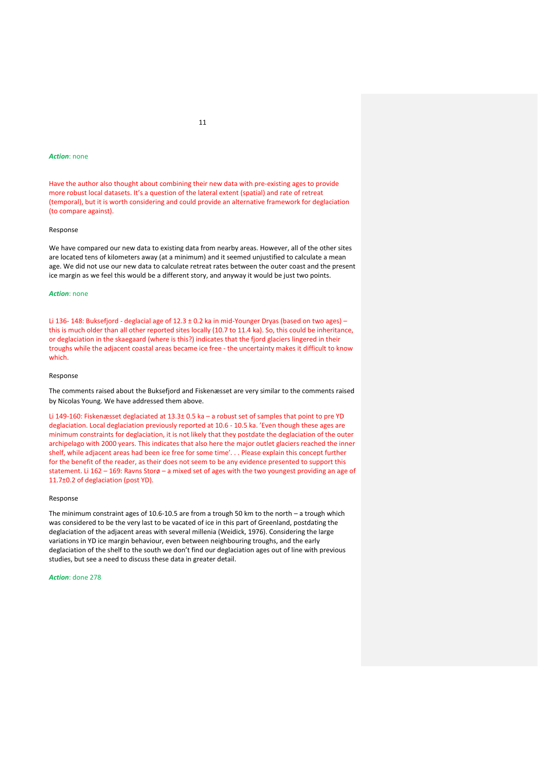# *Action*: none

Have the author also thought about combining their new data with pre-existing ages to provide more robust local datasets. It's a question of the lateral extent (spatial) and rate of retreat (temporal), but it is worth considering and could provide an alternative framework for deglaciation (to compare against).

#### Response

We have compared our new data to existing data from nearby areas. However, all of the other sites are located tens of kilometers away (at a minimum) and it seemed unjustified to calculate a mean age. We did not use our new data to calculate retreat rates between the outer coast and the present ice margin as we feel this would be a different story, and anyway it would be just two points.

# *Action*: none

Li 136- 148: Buksefjord - deglacial age of 12.3 ± 0.2 ka in mid-Younger Dryas (based on two ages) – this is much older than all other reported sites locally (10.7 to 11.4 ka). So, this could be inheritance, or deglaciation in the skaegaard (where is this?) indicates that the fjord glaciers lingered in their troughs while the adjacent coastal areas became ice free - the uncertainty makes it difficult to know which.

#### Response

The comments raised about the Buksefjord and Fiskenæsset are very similar to the comments raised by Nicolas Young. We have addressed them above.

Li 149-160: Fiskenæsset deglaciated at 13.3± 0.5 ka – a robust set of samples that point to pre YD deglaciation. Local deglaciation previously reported at 10.6 - 10.5 ka. 'Even though these ages are minimum constraints for deglaciation, it is not likely that they postdate the deglaciation of the outer archipelago with 2000 years. This indicates that also here the major outlet glaciers reached the inner shelf, while adjacent areas had been ice free for some time'. . . Please explain this concept further for the benefit of the reader, as their does not seem to be any evidence presented to support this statement. Li 162 – 169: Ravns Storø – a mixed set of ages with the two youngest providing an age of 11.7±0.2 of deglaciation (post YD).

# Response

The minimum constraint ages of 10.6-10.5 are from a trough 50 km to the north – a trough which was considered to be the very last to be vacated of ice in this part of Greenland, postdating the deglaciation of the adjacent areas with several millenia (Weidick, 1976). Considering the large variations in YD ice margin behaviour, even between neighbouring troughs, and the early deglaciation of the shelf to the south we don't find our deglaciation ages out of line with previous studies, but see a need to discuss these data in greater detail.

# *Action*: done 278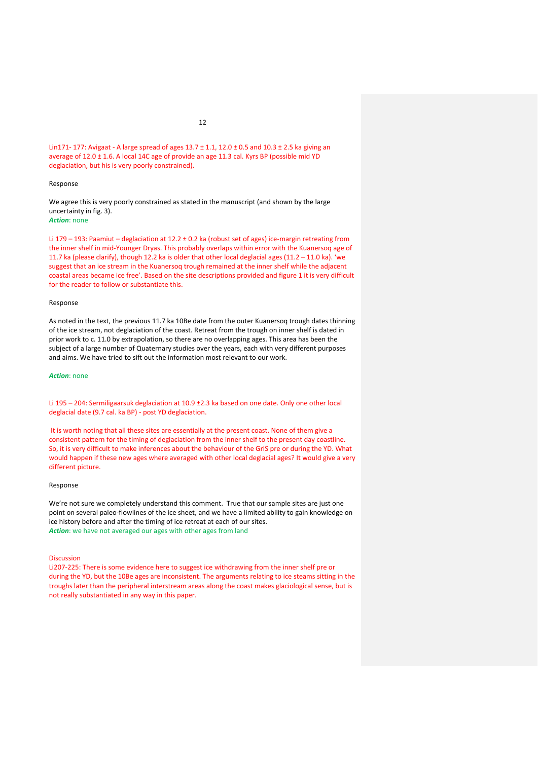# Lin171- 177: Avigaat - A large spread of ages 13.7 ± 1.1, 12.0 ± 0.5 and 10.3 ± 2.5 ka giving an average of 12.0 ± 1.6. A local 14C age of provide an age 11.3 cal. Kyrs BP (possible mid YD deglaciation, but his is very poorly constrained).

#### Response

We agree this is very poorly constrained as stated in the manuscript (and shown by the large uncertainty in fig. 3).

*Action*: none

Li 179 – 193: Paamiut – deglaciation at 12.2 ± 0.2 ka (robust set of ages) ice-margin retreating from the inner shelf in mid-Younger Dryas. This probably overlaps within error with the Kuanersoq age of 11.7 ka (please clarify), though 12.2 ka is older that other local deglacial ages (11.2 – 11.0 ka). 'we suggest that an ice stream in the Kuanersoq trough remained at the inner shelf while the adjacent coastal areas became ice free'. Based on the site descriptions provided and figure 1 it is very difficult for the reader to follow or substantiate this.

#### Response

As noted in the text, the previous 11.7 ka 10Be date from the outer Kuanersoq trough dates thinning of the ice stream, not deglaciation of the coast. Retreat from the trough on inner shelf is dated in prior work to c. 11.0 by extrapolation, so there are no overlapping ages. This area has been the subject of a large number of Quaternary studies over the years, each with very different purposes and aims. We have tried to sift out the information most relevant to our work.

#### *Action*: none

Li 195 – 204: Sermiligaarsuk deglaciation at 10.9 ±2.3 ka based on one date. Only one other local deglacial date (9.7 cal. ka BP) - post YD deglaciation.

It is worth noting that all these sites are essentially at the present coast. None of them give a consistent pattern for the timing of deglaciation from the inner shelf to the present day coastline. So, it is very difficult to make inferences about the behaviour of the GrIS pre or during the YD. What would happen if these new ages where averaged with other local deglacial ages? It would give a very different picture.

#### Response

We're not sure we completely understand this comment. True that our sample sites are just one point on several paleo-flowlines of the ice sheet, and we have a limited ability to gain knowledge on ice history before and after the timing of ice retreat at each of our sites. *Action*: we have not averaged our ages with other ages from land

#### Discussion

Li207-225: There is some evidence here to suggest ice withdrawing from the inner shelf pre or during the YD, but the 10Be ages are inconsistent. The arguments relating to ice steams sitting in the troughs later than the peripheral interstream areas along the coast makes glaciological sense, but is not really substantiated in any way in this paper.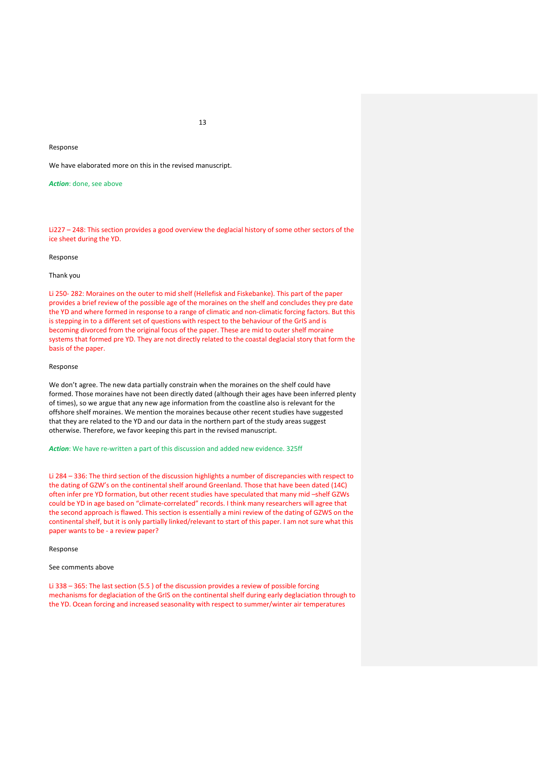# Response

We have elaborated more on this in the revised manuscript.

*Action*: done, see above

Li227 – 248: This section provides a good overview the deglacial history of some other sectors of the ice sheet during the YD.

#### Response

# Thank you

Li 250- 282: Moraines on the outer to mid shelf (Hellefisk and Fiskebanke). This part of the paper provides a brief review of the possible age of the moraines on the shelf and concludes they pre date the YD and where formed in response to a range of climatic and non-climatic forcing factors. But this is stepping in to a different set of questions with respect to the behaviour of the GrIS and is becoming divorced from the original focus of the paper. These are mid to outer shelf moraine systems that formed pre YD. They are not directly related to the coastal deglacial story that form the basis of the paper.

#### Response

We don't agree. The new data partially constrain when the moraines on the shelf could have formed. Those moraines have not been directly dated (although their ages have been inferred plenty of times), so we argue that any new age information from the coastline also is relevant for the offshore shelf moraines. We mention the moraines because other recent studies have suggested that they are related to the YD and our data in the northern part of the study areas suggest otherwise. Therefore, we favor keeping this part in the revised manuscript.

*Action*: We have re-written a part of this discussion and added new evidence. 325ff

Li 284 – 336: The third section of the discussion highlights a number of discrepancies with respect to the dating of GZW's on the continental shelf around Greenland. Those that have been dated (14C) often infer pre YD formation, but other recent studies have speculated that many mid –shelf GZWs could be YD in age based on "climate-correlated" records. I think many researchers will agree that the second approach is flawed. This section is essentially a mini review of the dating of GZWS on the continental shelf, but it is only partially linked/relevant to start of this paper. I am not sure what this paper wants to be - a review paper?

# Response

# See comments above

Li 338 – 365: The last section (5.5 ) of the discussion provides a review of possible forcing mechanisms for deglaciation of the GrIS on the continental shelf during early deglaciation through to the YD. Ocean forcing and increased seasonality with respect to summer/winter air temperatures